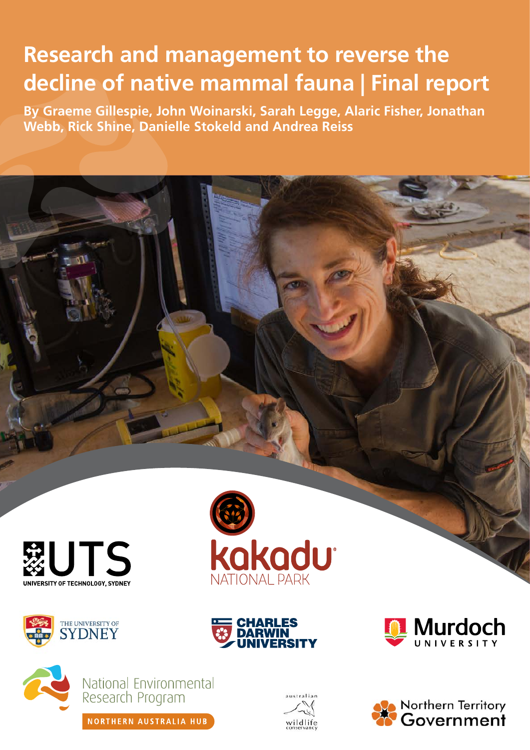# **Research and management to reverse the decline of native mammal fauna | Final report**

**By Graeme Gillespie, John Woinarski, Sarah Legge, Alaric Fisher, Jonathan Webb, Rick Shine, Danielle Stokeld and Andrea Reiss**













National Environmental<br>Research Program

NORTHERN AUSTRALIA HUB





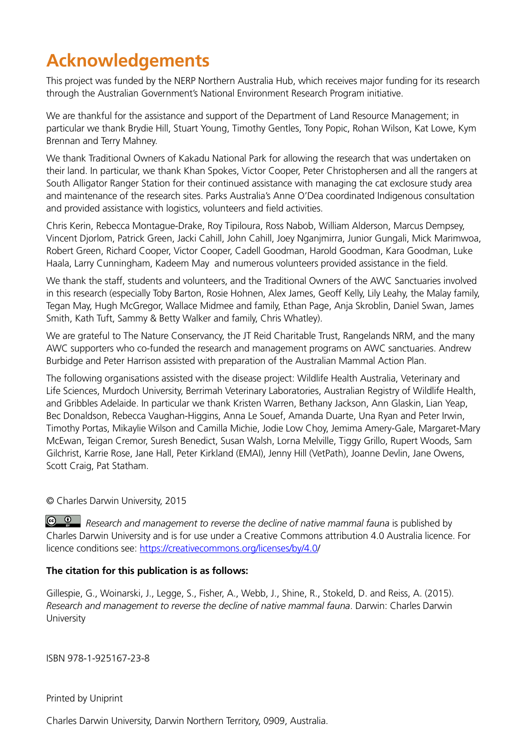## **Acknowledgements**

This project was funded by the NERP Northern Australia Hub, which receives major funding for its research through the Australian Government's National Environment Research Program initiative.

We are thankful for the assistance and support of the Department of Land Resource Management; in particular we thank Brydie Hill, Stuart Young, Timothy Gentles, Tony Popic, Rohan Wilson, Kat Lowe, Kym Brennan and Terry Mahney.

We thank Traditional Owners of Kakadu National Park for allowing the research that was undertaken on their land. In particular, we thank Khan Spokes, Victor Cooper, Peter Christophersen and all the rangers at South Alligator Ranger Station for their continued assistance with managing the cat exclosure study area and maintenance of the research sites. Parks Australia's Anne O'Dea coordinated Indigenous consultation and provided assistance with logistics, volunteers and field activities.

Chris Kerin, Rebecca Montague-Drake, Roy Tipiloura, Ross Nabob, William Alderson, Marcus Dempsey, Vincent Djorlom, Patrick Green, Jacki Cahill, John Cahill, Joey Nganjmirra, Junior Gungali, Mick Marimwoa, Robert Green, Richard Cooper, Victor Cooper, Cadell Goodman, Harold Goodman, Kara Goodman, Luke Haala, Larry Cunningham, Kadeem May and numerous volunteers provided assistance in the field.

We thank the staff, students and volunteers, and the Traditional Owners of the AWC Sanctuaries involved in this research (especially Toby Barton, Rosie Hohnen, Alex James, Geoff Kelly, Lily Leahy, the Malay family, Tegan May, Hugh McGregor, Wallace Midmee and family, Ethan Page, Anja Skroblin, Daniel Swan, James Smith, Kath Tuft, Sammy & Betty Walker and family, Chris Whatley).

We are grateful to The Nature Conservancy, the JT Reid Charitable Trust, Rangelands NRM, and the many AWC supporters who co-funded the research and management programs on AWC sanctuaries. Andrew Burbidge and Peter Harrison assisted with preparation of the Australian Mammal Action Plan.

The following organisations assisted with the disease project: Wildlife Health Australia, Veterinary and Life Sciences, Murdoch University, Berrimah Veterinary Laboratories, Australian Registry of Wildlife Health, and Gribbles Adelaide. In particular we thank Kristen Warren, Bethany Jackson, Ann Glaskin, Lian Yeap, Bec Donaldson, Rebecca Vaughan-Higgins, Anna Le Souef, Amanda Duarte, Una Ryan and Peter Irwin, Timothy Portas, Mikaylie Wilson and Camilla Michie, Jodie Low Choy, Jemima Amery-Gale, Margaret-Mary McEwan, Teigan Cremor, Suresh Benedict, Susan Walsh, Lorna Melville, Tiggy Grillo, Rupert Woods, Sam Gilchrist, Karrie Rose, Jane Hall, Peter Kirkland (EMAI), Jenny Hill (VetPath), Joanne Devlin, Jane Owens, Scott Craig, Pat Statham.

© Charles Darwin University, 2015

*C* **P** *Research and management to reverse the decline of native mammal fauna is published by* Charles Darwin University and is for use under a Creative Commons attribution 4.0 Australia licence. For licence conditions see: [https://creativecommons.org/licenses/by/4.0/](https://creativecommons.org/licenses/by/4.0)

#### **The citation for this publication is as follows:**

Gillespie, G., Woinarski, J., Legge, S., Fisher, A., Webb, J., Shine, R., Stokeld, D. and Reiss, A. (2015). *Research and management to reverse the decline of native mammal fauna*. Darwin: Charles Darwin **University** 

ISBN 978-1-925167-23-8

Printed by Uniprint

Charles Darwin University, Darwin Northern Territory, 0909, Australia.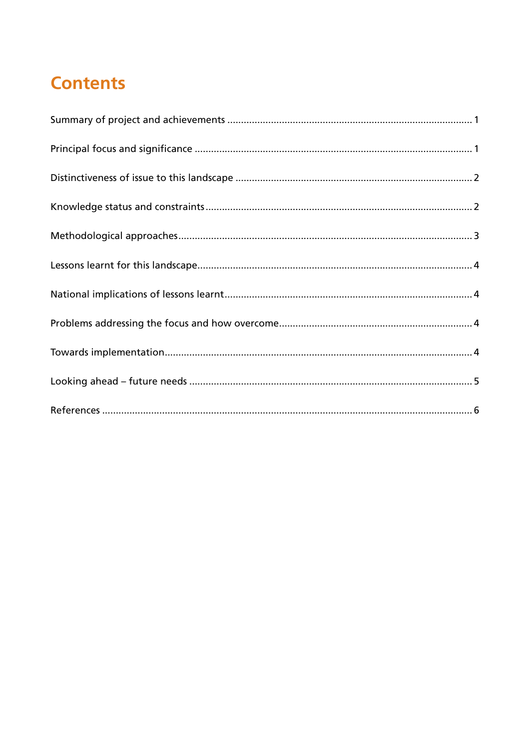## **Contents**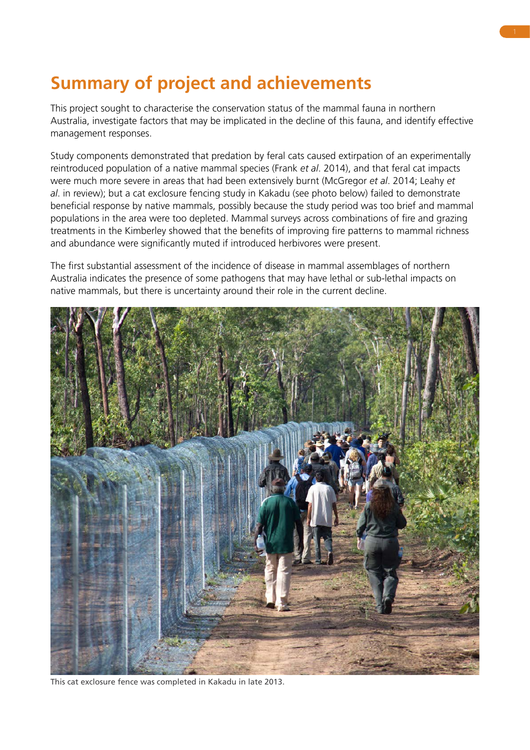## <span id="page-4-0"></span>**Summary of project and achievements**

This project sought to characterise the conservation status of the mammal fauna in northern Australia, investigate factors that may be implicated in the decline of this fauna, and identify effective management responses.

Study components demonstrated that predation by feral cats caused extirpation of an experimentally reintroduced population of a native mammal species (Frank *et al*. 2014), and that feral cat impacts were much more severe in areas that had been extensively burnt (McGregor *et al*. 2014; Leahy *et al*. in review); but a cat exclosure fencing study in Kakadu (see photo below) failed to demonstrate beneficial response by native mammals, possibly because the study period was too brief and mammal populations in the area were too depleted. Mammal surveys across combinations of fire and grazing treatments in the Kimberley showed that the benefits of improving fire patterns to mammal richness and abundance were significantly muted if introduced herbivores were present.

The first substantial assessment of the incidence of disease in mammal assemblages of northern Australia indicates the presence of some pathogens that may have lethal or sub-lethal impacts on native mammals, but there is uncertainty around their role in the current decline.



This cat exclosure fence was completed in Kakadu in late 2013.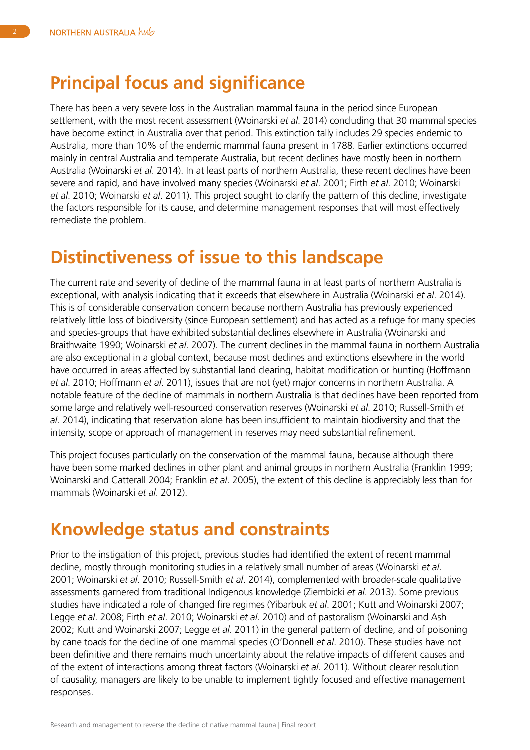#### <span id="page-5-0"></span>**Principal focus and significance**

There has been a very severe loss in the Australian mammal fauna in the period since European settlement, with the most recent assessment (Woinarski *et al*. 2014) concluding that 30 mammal species have become extinct in Australia over that period. This extinction tally includes 29 species endemic to Australia, more than 10% of the endemic mammal fauna present in 1788. Earlier extinctions occurred mainly in central Australia and temperate Australia, but recent declines have mostly been in northern Australia (Woinarski *et al*. 2014). In at least parts of northern Australia, these recent declines have been severe and rapid, and have involved many species (Woinarski *et al*. 2001; Firth *et al*. 2010; Woinarski *et al*. 2010; Woinarski *et al*. 2011). This project sought to clarify the pattern of this decline, investigate the factors responsible for its cause, and determine management responses that will most effectively remediate the problem.

#### **Distinctiveness of issue to this landscape**

The current rate and severity of decline of the mammal fauna in at least parts of northern Australia is exceptional, with analysis indicating that it exceeds that elsewhere in Australia (Woinarski *et al*. 2014). This is of considerable conservation concern because northern Australia has previously experienced relatively little loss of biodiversity (since European settlement) and has acted as a refuge for many species and species-groups that have exhibited substantial declines elsewhere in Australia (Woinarski and Braithwaite 1990; Woinarski *et al*. 2007). The current declines in the mammal fauna in northern Australia are also exceptional in a global context, because most declines and extinctions elsewhere in the world have occurred in areas affected by substantial land clearing, habitat modification or hunting (Hoffmann *et al*. 2010; Hoffmann *et al*. 2011), issues that are not (yet) major concerns in northern Australia. A notable feature of the decline of mammals in northern Australia is that declines have been reported from some large and relatively well-resourced conservation reserves (Woinarski *et al*. 2010; Russell-Smith *et al*. 2014), indicating that reservation alone has been insufficient to maintain biodiversity and that the intensity, scope or approach of management in reserves may need substantial refinement.

This project focuses particularly on the conservation of the mammal fauna, because although there have been some marked declines in other plant and animal groups in northern Australia (Franklin 1999; Woinarski and Catterall 2004; Franklin *et al*. 2005), the extent of this decline is appreciably less than for mammals (Woinarski *et al*. 2012).

#### **Knowledge status and constraints**

Prior to the instigation of this project, previous studies had identified the extent of recent mammal decline, mostly through monitoring studies in a relatively small number of areas (Woinarski *et al*. 2001; Woinarski *et al*. 2010; Russell-Smith *et al*. 2014), complemented with broader-scale qualitative assessments garnered from traditional Indigenous knowledge (Ziembicki *et al*. 2013). Some previous studies have indicated a role of changed fire regimes (Yibarbuk *et al*. 2001; Kutt and Woinarski 2007; Legge *et al*. 2008; Firth *et al*. 2010; Woinarski *et al*. 2010) and of pastoralism (Woinarski and Ash 2002; Kutt and Woinarski 2007; Legge *et al*. 2011) in the general pattern of decline, and of poisoning by cane toads for the decline of one mammal species (O'Donnell *et al*. 2010). These studies have not been definitive and there remains much uncertainty about the relative impacts of different causes and of the extent of interactions among threat factors (Woinarski *et al*. 2011). Without clearer resolution of causality, managers are likely to be unable to implement tightly focused and effective management responses.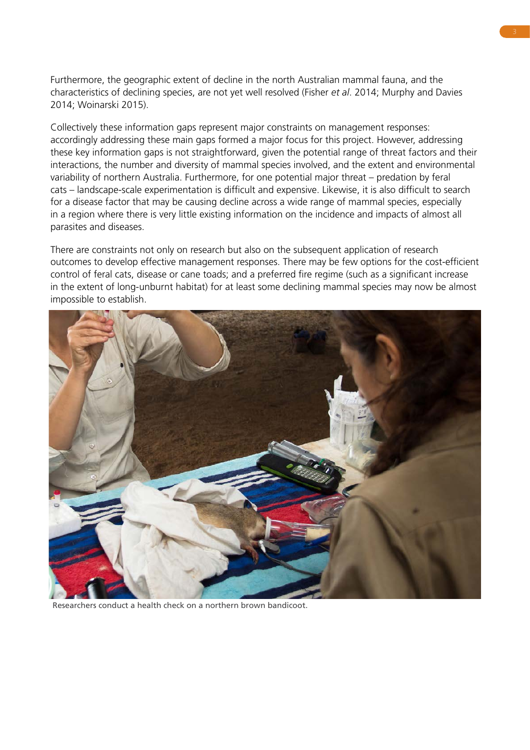<span id="page-6-0"></span>Furthermore, the geographic extent of decline in the north Australian mammal fauna, and the characteristics of declining species, are not yet well resolved (Fisher *et al*. 2014; Murphy and Davies 2014; Woinarski 2015).

Collectively these information gaps represent major constraints on management responses: accordingly addressing these main gaps formed a major focus for this project. However, addressing these key information gaps is not straightforward, given the potential range of threat factors and their interactions, the number and diversity of mammal species involved, and the extent and environmental variability of northern Australia. Furthermore, for one potential major threat – predation by feral cats – landscape-scale experimentation is difficult and expensive. Likewise, it is also difficult to search for a disease factor that may be causing decline across a wide range of mammal species, especially in a region where there is very little existing information on the incidence and impacts of almost all parasites and diseases.

There are constraints not only on research but also on the subsequent application of research outcomes to develop effective management responses. There may be few options for the cost-efficient control of feral cats, disease or cane toads; and a preferred fire regime (such as a significant increase in the extent of long-unburnt habitat) for at least some declining mammal species may now be almost impossible to establish.



Researchers conduct a health check on a northern brown bandicoot.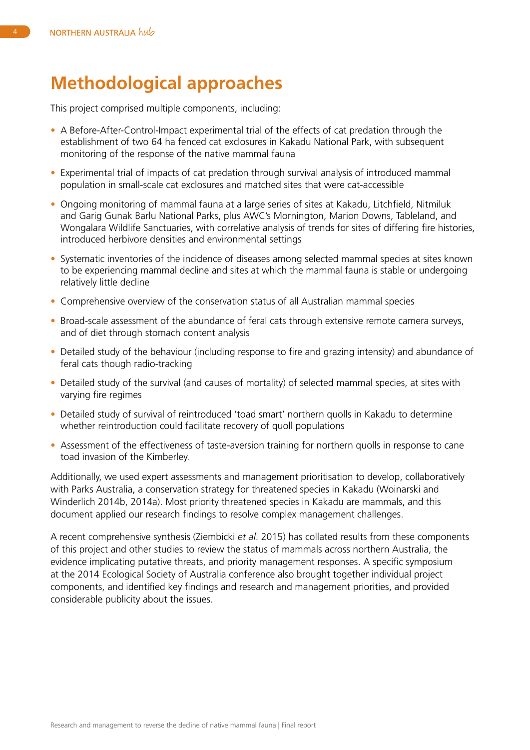#### <span id="page-7-0"></span>**Methodological approaches**

This project comprised multiple components, including:

- A Before-After-Control-Impact experimental trial of the effects of cat predation through the establishment of two 64 ha fenced cat exclosures in Kakadu National Park, with subsequent monitoring of the response of the native mammal fauna
- Experimental trial of impacts of cat predation through survival analysis of introduced mammal population in small-scale cat exclosures and matched sites that were cat-accessible
- Ongoing monitoring of mammal fauna at a large series of sites at Kakadu, Litchfield, Nitmiluk and Garig Gunak Barlu National Parks, plus AWC's Mornington, Marion Downs, Tableland, and Wongalara Wildlife Sanctuaries, with correlative analysis of trends for sites of differing fire histories, introduced herbivore densities and environmental settings
- Systematic inventories of the incidence of diseases among selected mammal species at sites known to be experiencing mammal decline and sites at which the mammal fauna is stable or undergoing relatively little decline
- Comprehensive overview of the conservation status of all Australian mammal species
- Broad-scale assessment of the abundance of feral cats through extensive remote camera surveys, and of diet through stomach content analysis
- Detailed study of the behaviour (including response to fire and grazing intensity) and abundance of feral cats though radio-tracking
- Detailed study of the survival (and causes of mortality) of selected mammal species, at sites with varying fire regimes
- Detailed study of survival of reintroduced 'toad smart' northern quolls in Kakadu to determine whether reintroduction could facilitate recovery of quoll populations
- Assessment of the effectiveness of taste-aversion training for northern quolls in response to cane toad invasion of the Kimberley.

Additionally, we used expert assessments and management prioritisation to develop, collaboratively with Parks Australia, a conservation strategy for threatened species in Kakadu (Woinarski and Winderlich 2014b, 2014a). Most priority threatened species in Kakadu are mammals, and this document applied our research findings to resolve complex management challenges.

A recent comprehensive synthesis (Ziembicki *et al*. 2015) has collated results from these components of this project and other studies to review the status of mammals across northern Australia, the evidence implicating putative threats, and priority management responses. A specific symposium at the 2014 Ecological Society of Australia conference also brought together individual project components, and identified key findings and research and management priorities, and provided considerable publicity about the issues.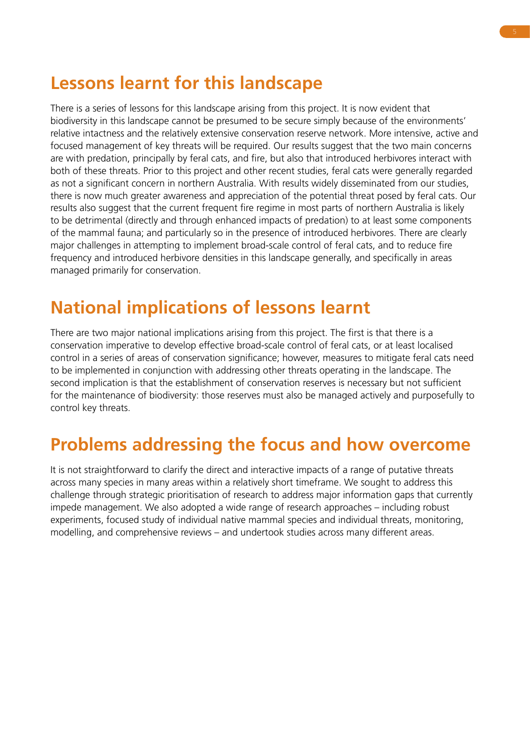### <span id="page-8-0"></span>**Lessons learnt for this landscape**

There is a series of lessons for this landscape arising from this project. It is now evident that biodiversity in this landscape cannot be presumed to be secure simply because of the environments' relative intactness and the relatively extensive conservation reserve network. More intensive, active and focused management of key threats will be required. Our results suggest that the two main concerns are with predation, principally by feral cats, and fire, but also that introduced herbivores interact with both of these threats. Prior to this project and other recent studies, feral cats were generally regarded as not a significant concern in northern Australia. With results widely disseminated from our studies, there is now much greater awareness and appreciation of the potential threat posed by feral cats. Our results also suggest that the current frequent fire regime in most parts of northern Australia is likely to be detrimental (directly and through enhanced impacts of predation) to at least some components of the mammal fauna; and particularly so in the presence of introduced herbivores. There are clearly major challenges in attempting to implement broad-scale control of feral cats, and to reduce fire frequency and introduced herbivore densities in this landscape generally, and specifically in areas managed primarily for conservation.

#### **National implications of lessons learnt**

There are two major national implications arising from this project. The first is that there is a conservation imperative to develop effective broad-scale control of feral cats, or at least localised control in a series of areas of conservation significance; however, measures to mitigate feral cats need to be implemented in conjunction with addressing other threats operating in the landscape. The second implication is that the establishment of conservation reserves is necessary but not sufficient for the maintenance of biodiversity: those reserves must also be managed actively and purposefully to control key threats.

#### **Problems addressing the focus and how overcome**

It is not straightforward to clarify the direct and interactive impacts of a range of putative threats across many species in many areas within a relatively short timeframe. We sought to address this challenge through strategic prioritisation of research to address major information gaps that currently impede management. We also adopted a wide range of research approaches – including robust experiments, focused study of individual native mammal species and individual threats, monitoring, modelling, and comprehensive reviews – and undertook studies across many different areas.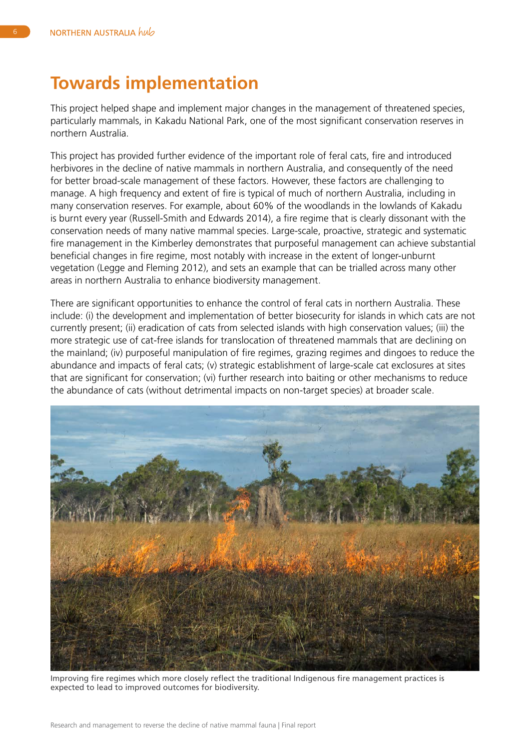#### <span id="page-9-0"></span>**Towards implementation**

This project helped shape and implement major changes in the management of threatened species, particularly mammals, in Kakadu National Park, one of the most significant conservation reserves in northern Australia.

This project has provided further evidence of the important role of feral cats, fire and introduced herbivores in the decline of native mammals in northern Australia, and consequently of the need for better broad-scale management of these factors. However, these factors are challenging to manage. A high frequency and extent of fire is typical of much of northern Australia, including in many conservation reserves. For example, about 60% of the woodlands in the lowlands of Kakadu is burnt every year (Russell-Smith and Edwards 2014), a fire regime that is clearly dissonant with the conservation needs of many native mammal species. Large-scale, proactive, strategic and systematic fire management in the Kimberley demonstrates that purposeful management can achieve substantial beneficial changes in fire regime, most notably with increase in the extent of longer-unburnt vegetation (Legge and Fleming 2012), and sets an example that can be trialled across many other areas in northern Australia to enhance biodiversity management.

There are significant opportunities to enhance the control of feral cats in northern Australia. These include: (i) the development and implementation of better biosecurity for islands in which cats are not currently present; (ii) eradication of cats from selected islands with high conservation values; (iii) the more strategic use of cat-free islands for translocation of threatened mammals that are declining on the mainland; (iv) purposeful manipulation of fire regimes, grazing regimes and dingoes to reduce the abundance and impacts of feral cats; (v) strategic establishment of large-scale cat exclosures at sites that are significant for conservation; (vi) further research into baiting or other mechanisms to reduce the abundance of cats (without detrimental impacts on non-target species) at broader scale.



Improving fire regimes which more closely reflect the traditional Indigenous fire management practices is expected to lead to improved outcomes for biodiversity.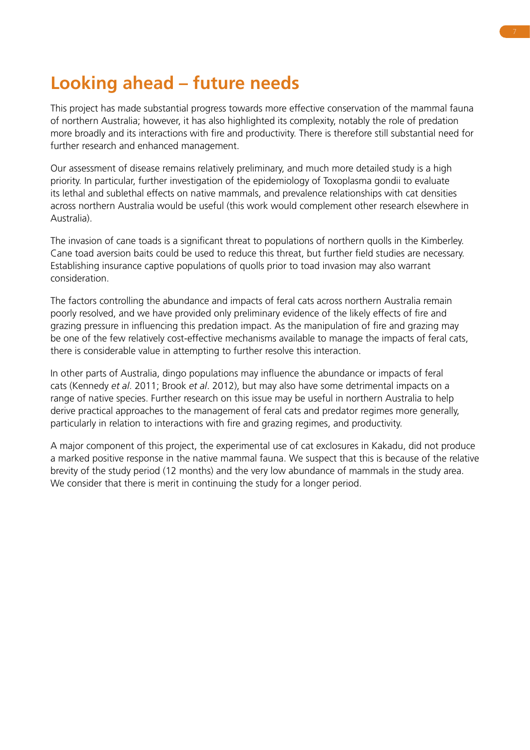## **Looking ahead – future needs**

This project has made substantial progress towards more effective conservation of the mammal fauna of northern Australia; however, it has also highlighted its complexity, notably the role of predation more broadly and its interactions with fire and productivity. There is therefore still substantial need for further research and enhanced management.

Our assessment of disease remains relatively preliminary, and much more detailed study is a high priority. In particular, further investigation of the epidemiology of Toxoplasma gondii to evaluate its lethal and sublethal effects on native mammals, and prevalence relationships with cat densities across northern Australia would be useful (this work would complement other research elsewhere in Australia).

The invasion of cane toads is a significant threat to populations of northern quolls in the Kimberley. Cane toad aversion baits could be used to reduce this threat, but further field studies are necessary. Establishing insurance captive populations of quolls prior to toad invasion may also warrant consideration.

The factors controlling the abundance and impacts of feral cats across northern Australia remain poorly resolved, and we have provided only preliminary evidence of the likely effects of fire and grazing pressure in influencing this predation impact. As the manipulation of fire and grazing may be one of the few relatively cost-effective mechanisms available to manage the impacts of feral cats, there is considerable value in attempting to further resolve this interaction.

In other parts of Australia, dingo populations may influence the abundance or impacts of feral cats (Kennedy *et al*. 2011; Brook *et al*. 2012), but may also have some detrimental impacts on a range of native species. Further research on this issue may be useful in northern Australia to help derive practical approaches to the management of feral cats and predator regimes more generally, particularly in relation to interactions with fire and grazing regimes, and productivity.

A major component of this project, the experimental use of cat exclosures in Kakadu, did not produce a marked positive response in the native mammal fauna. We suspect that this is because of the relative brevity of the study period (12 months) and the very low abundance of mammals in the study area. We consider that there is merit in continuing the study for a longer period.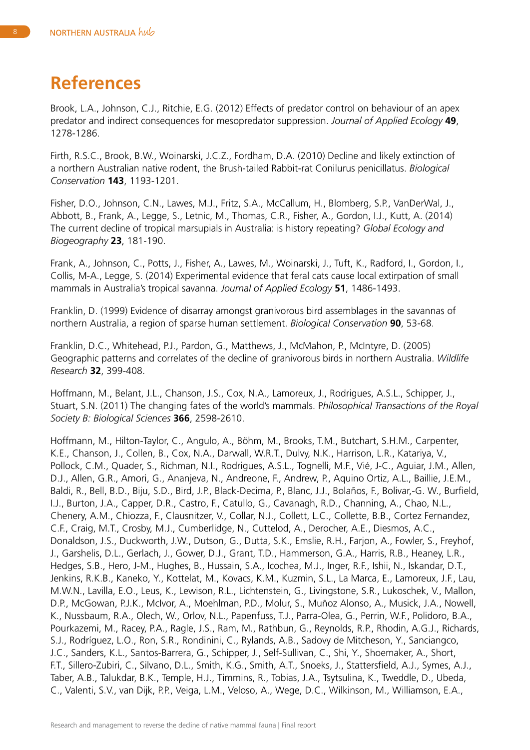#### **References**

Brook, L.A., Johnson, C.J., Ritchie, E.G. (2012) Effects of predator control on behaviour of an apex predator and indirect consequences for mesopredator suppression. *Journal of Applied Ecology* **49**, 1278-1286.

Firth, R.S.C., Brook, B.W., Woinarski, J.C.Z., Fordham, D.A. (2010) Decline and likely extinction of a northern Australian native rodent, the Brush-tailed Rabbit-rat Conilurus penicillatus. *Biological Conservation* **143**, 1193-1201.

Fisher, D.O., Johnson, C.N., Lawes, M.J., Fritz, S.A., McCallum, H., Blomberg, S.P., VanDerWal, J., Abbott, B., Frank, A., Legge, S., Letnic, M., Thomas, C.R., Fisher, A., Gordon, I.J., Kutt, A. (2014) The current decline of tropical marsupials in Australia: is history repeating? *Global Ecology and Biogeography* **23**, 181-190.

Frank, A., Johnson, C., Potts, J., Fisher, A., Lawes, M., Woinarski, J., Tuft, K., Radford, I., Gordon, I., Collis, M-A., Legge, S. (2014) Experimental evidence that feral cats cause local extirpation of small mammals in Australia's tropical savanna. *Journal of Applied Ecology* **51**, 1486-1493.

Franklin, D. (1999) Evidence of disarray amongst granivorous bird assemblages in the savannas of northern Australia, a region of sparse human settlement. *Biological Conservation* **90**, 53-68.

Franklin, D.C., Whitehead, P.J., Pardon, G., Matthews, J., McMahon, P., McIntyre, D. (2005) Geographic patterns and correlates of the decline of granivorous birds in northern Australia. *Wildlife Research* **32**, 399-408.

Hoffmann, M., Belant, J.L., Chanson, J.S., Cox, N.A., Lamoreux, J., Rodrigues, A.S.L., Schipper, J., Stuart, S.N. (2011) The changing fates of the world's mammals. P*hilosophical Transactions of the Royal Society B: Biological Sciences* **366**, 2598-2610.

Hoffmann, M., Hilton-Taylor, C., Angulo, A., Böhm, M., Brooks, T.M., Butchart, S.H.M., Carpenter, K.E., Chanson, J., Collen, B., Cox, N.A., Darwall, W.R.T., Dulvy, N.K., Harrison, L.R., Katariya, V., Pollock, C.M., Quader, S., Richman, N.I., Rodrigues, A.S.L., Tognelli, M.F., Vié, J-C., Aguiar, J.M., Allen, D.J., Allen, G.R., Amori, G., Ananjeva, N., Andreone, F., Andrew, P., Aquino Ortiz, A.L., Baillie, J.E.M., Baldi, R., Bell, B.D., Biju, S.D., Bird, J.P., Black-Decima, P., Blanc, J.J., Bolaños, F., Bolivar,-G. W., Burfield, I.J., Burton, J.A., Capper, D.R., Castro, F., Catullo, G., Cavanagh, R.D., Channing, A., Chao, N.L., Chenery, A.M., Chiozza, F., Clausnitzer, V., Collar, N.J., Collett, L.C., Collette, B.B., Cortez Fernandez, C.F., Craig, M.T., Crosby, M.J., Cumberlidge, N., Cuttelod, A., Derocher, A.E., Diesmos, A.C., Donaldson, J.S., Duckworth, J.W., Dutson, G., Dutta, S.K., Emslie, R.H., Farjon, A., Fowler, S., Freyhof, J., Garshelis, D.L., Gerlach, J., Gower, D.J., Grant, T.D., Hammerson, G.A., Harris, R.B., Heaney, L.R., Hedges, S.B., Hero, J-M., Hughes, B., Hussain, S.A., Icochea, M.J., Inger, R.F., Ishii, N., Iskandar, D.T., Jenkins, R.K.B., Kaneko, Y., Kottelat, M., Kovacs, K.M., Kuzmin, S.L., La Marca, E., Lamoreux, J.F., Lau, M.W.N., Lavilla, E.O., Leus, K., Lewison, R.L., Lichtenstein, G., Livingstone, S.R., Lukoschek, V., Mallon, D.P., McGowan, P.J.K., McIvor, A., Moehlman, P.D., Molur, S., Muñoz Alonso, A., Musick, J.A., Nowell, K., Nussbaum, R.A., Olech, W., Orlov, N.L., Papenfuss, T.J., Parra-Olea, G., Perrin, W.F., Polidoro, B.A., Pourkazemi, M., Racey, P.A., Ragle, J.S., Ram, M., Rathbun, G., Reynolds, R.P., Rhodin, A.G.J., Richards, S.J., Rodríguez, L.O., Ron, S.R., Rondinini, C., Rylands, A.B., Sadovy de Mitcheson, Y., Sanciangco, J.C., Sanders, K.L., Santos-Barrera, G., Schipper, J., Self-Sullivan, C., Shi, Y., Shoemaker, A., Short, F.T., Sillero-Zubiri, C., Silvano, D.L., Smith, K.G., Smith, A.T., Snoeks, J., Stattersfield, A.J., Symes, A.J., Taber, A.B., Talukdar, B.K., Temple, H.J., Timmins, R., Tobias, J.A., Tsytsulina, K., Tweddle, D., Ubeda, C., Valenti, S.V., van Dijk, P.P., Veiga, L.M., Veloso, A., Wege, D.C., Wilkinson, M., Williamson, E.A.,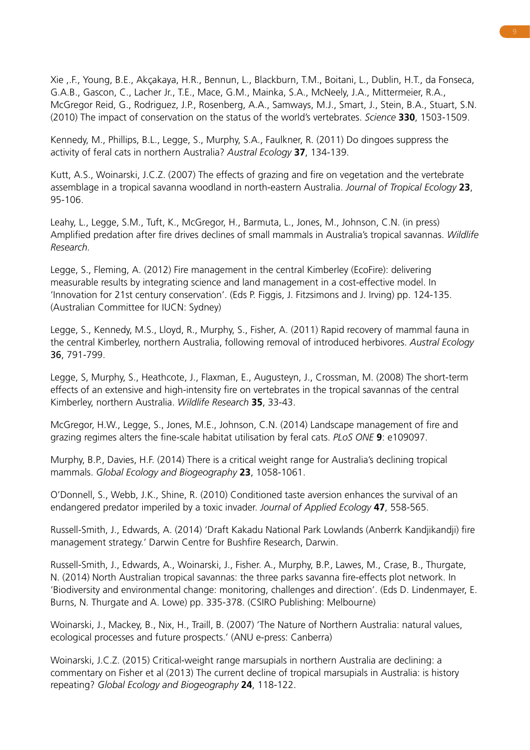Xie ,.F., Young, B.E., Akçakaya, H.R., Bennun, L., Blackburn, T.M., Boitani, L., Dublin, H.T., da Fonseca, G.A.B., Gascon, C., Lacher Jr., T.E., Mace, G.M., Mainka, S.A., McNeely, J.A., Mittermeier, R.A., McGregor Reid, G., Rodriguez, J.P., Rosenberg, A.A., Samways, M.J., Smart, J., Stein, B.A., Stuart, S.N. (2010) The impact of conservation on the status of the world's vertebrates. *Science* **330**, 1503-1509.

Kennedy, M., Phillips, B.L., Legge, S., Murphy, S.A., Faulkner, R. (2011) Do dingoes suppress the activity of feral cats in northern Australia? *Austral Ecology* **37**, 134-139.

Kutt, A.S., Woinarski, J.C.Z. (2007) The effects of grazing and fire on vegetation and the vertebrate assemblage in a tropical savanna woodland in north-eastern Australia. *Journal of Tropical Ecology* **23**, 95-106.

Leahy, L., Legge, S.M., Tuft, K., McGregor, H., Barmuta, L., Jones, M., Johnson, C.N. (in press) Amplified predation after fire drives declines of small mammals in Australia's tropical savannas. *Wildlife Research.*

Legge, S., Fleming, A. (2012) Fire management in the central Kimberley (EcoFire): delivering measurable results by integrating science and land management in a cost-effective model. In 'Innovation for 21st century conservation'. (Eds P. Figgis, J. Fitzsimons and J. Irving) pp. 124-135. (Australian Committee for IUCN: Sydney)

Legge, S., Kennedy, M.S., Lloyd, R., Murphy, S., Fisher, A. (2011) Rapid recovery of mammal fauna in the central Kimberley, northern Australia, following removal of introduced herbivores. *Austral Ecology* 36, 791-799.

Legge, S, Murphy, S., Heathcote, J., Flaxman, E., Augusteyn, J., Crossman, M. (2008) The short-term effects of an extensive and high-intensity fire on vertebrates in the tropical savannas of the central Kimberley, northern Australia. *Wildlife Research* **35**, 33-43.

McGregor, H.W., Legge, S., Jones, M.E., Johnson, C.N. (2014) Landscape management of fire and grazing regimes alters the fine-scale habitat utilisation by feral cats. *PLoS ONE* **9**: e109097.

Murphy, B.P., Davies, H.F. (2014) There is a critical weight range for Australia's declining tropical mammals. *Global Ecology and Biogeography* **23**, 1058-1061.

O'Donnell, S., Webb, J.K., Shine, R. (2010) Conditioned taste aversion enhances the survival of an endangered predator imperiled by a toxic invader. *Journal of Applied Ecology* **47**, 558-565.

Russell-Smith, J., Edwards, A. (2014) 'Draft Kakadu National Park Lowlands (Anberrk Kandjikandji) fire management strategy.' Darwin Centre for Bushfire Research, Darwin.

Russell-Smith, J., Edwards, A., Woinarski, J., Fisher. A., Murphy, B.P., Lawes, M., Crase, B., Thurgate, N. (2014) North Australian tropical savannas: the three parks savanna fire-effects plot network. In 'Biodiversity and environmental change: monitoring, challenges and direction'. (Eds D. Lindenmayer, E. Burns, N. Thurgate and A. Lowe) pp. 335-378. (CSIRO Publishing: Melbourne)

Woinarski, J., Mackey, B., Nix, H., Traill, B. (2007) 'The Nature of Northern Australia: natural values, ecological processes and future prospects.' (ANU e-press: Canberra)

Woinarski, J.C.Z. (2015) Critical-weight range marsupials in northern Australia are declining: a commentary on Fisher et al (2013) The current decline of tropical marsupials in Australia: is history repeating? *Global Ecology and Biogeography* **24**, 118-122.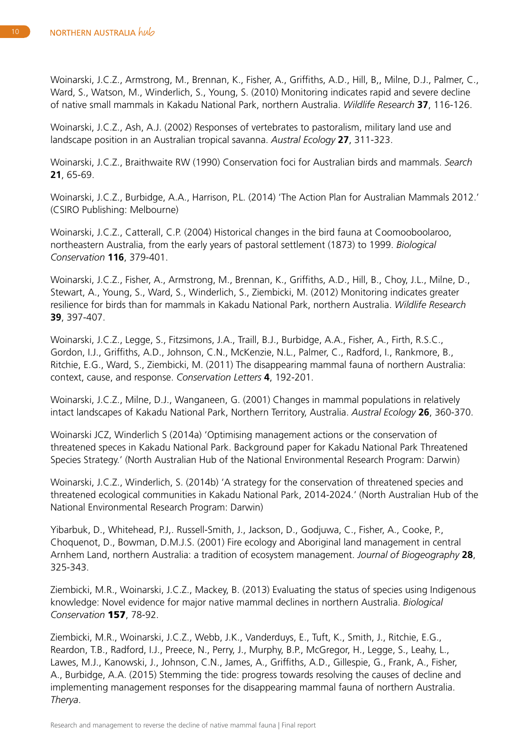Woinarski, J.C.Z., Armstrong, M., Brennan, K., Fisher, A., Griffiths, A.D., Hill, B,, Milne, D.J., Palmer, C., Ward, S., Watson, M., Winderlich, S., Young, S. (2010) Monitoring indicates rapid and severe decline of native small mammals in Kakadu National Park, northern Australia. *Wildlife Research* **37**, 116-126.

Woinarski, J.C.Z., Ash, A.J. (2002) Responses of vertebrates to pastoralism, military land use and landscape position in an Australian tropical savanna. *Austral Ecology* **27**, 311-323.

Woinarski, J.C.Z., Braithwaite RW (1990) Conservation foci for Australian birds and mammals. *Search* **21**, 65-69.

Woinarski, J.C.Z., Burbidge, A.A., Harrison, P.L. (2014) 'The Action Plan for Australian Mammals 2012.' (CSIRO Publishing: Melbourne)

Woinarski, J.C.Z., Catterall, C.P. (2004) Historical changes in the bird fauna at Coomooboolaroo, northeastern Australia, from the early years of pastoral settlement (1873) to 1999. *Biological Conservation* **116**, 379-401.

Woinarski, J.C.Z., Fisher, A., Armstrong, M., Brennan, K., Griffiths, A.D., Hill, B., Choy, J.L., Milne, D., Stewart, A., Young, S., Ward, S., Winderlich, S., Ziembicki, M. (2012) Monitoring indicates greater resilience for birds than for mammals in Kakadu National Park, northern Australia. *Wildlife Research*  **39**, 397-407.

Woinarski, J.C.Z., Legge, S., Fitzsimons, J.A., Traill, B.J., Burbidge, A.A., Fisher, A., Firth, R.S.C., Gordon, I.J., Griffiths, A.D., Johnson, C.N., McKenzie, N.L., Palmer, C., Radford, I., Rankmore, B., Ritchie, E.G., Ward, S., Ziembicki, M. (2011) The disappearing mammal fauna of northern Australia: context, cause, and response. *Conservation Letters* **4**, 192-201.

Woinarski, J.C.Z., Milne, D.J., Wanganeen, G. (2001) Changes in mammal populations in relatively intact landscapes of Kakadu National Park, Northern Territory, Australia. *Austral Ecology* **26**, 360-370.

Woinarski JCZ, Winderlich S (2014a) 'Optimising management actions or the conservation of threatened speces in Kakadu National Park. Background paper for Kakadu National Park Threatened Species Strategy.' (North Australian Hub of the National Environmental Research Program: Darwin)

Woinarski, J.C.Z., Winderlich, S. (2014b) 'A strategy for the conservation of threatened species and threatened ecological communities in Kakadu National Park, 2014-2024.' (North Australian Hub of the National Environmental Research Program: Darwin)

Yibarbuk, D., Whitehead, P.J,. Russell-Smith, J., Jackson, D., Godjuwa, C., Fisher, A., Cooke, P., Choquenot, D., Bowman, D.M.J.S. (2001) Fire ecology and Aboriginal land management in central Arnhem Land, northern Australia: a tradition of ecosystem management. *Journal of Biogeography* **28**, 325-343.

Ziembicki, M.R., Woinarski, J.C.Z., Mackey, B. (2013) Evaluating the status of species using Indigenous knowledge: Novel evidence for major native mammal declines in northern Australia. *Biological Conservation* 157, 78-92.

Ziembicki, M.R., Woinarski, J.C.Z., Webb, J.K., Vanderduys, E., Tuft, K., Smith, J., Ritchie, E.G., Reardon, T.B., Radford, I.J., Preece, N., Perry, J., Murphy, B.P., McGregor, H., Legge, S., Leahy, L., Lawes, M.J., Kanowski, J., Johnson, C.N., James, A., Griffiths, A.D., Gillespie, G., Frank, A., Fisher, A., Burbidge, A.A. (2015) Stemming the tide: progress towards resolving the causes of decline and implementing management responses for the disappearing mammal fauna of northern Australia. *Therya*.